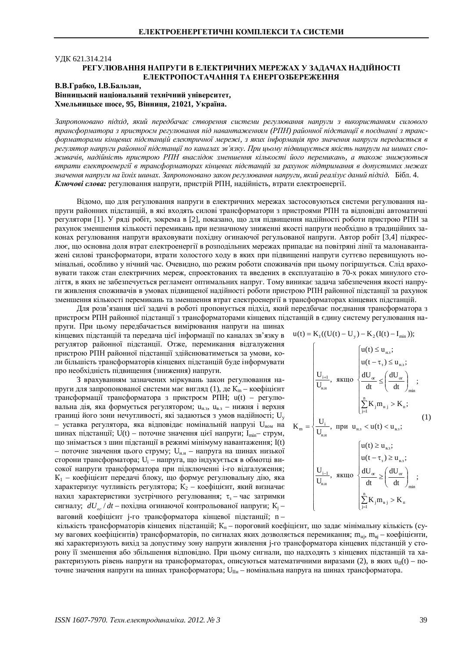# ɍȾɄ 621.314.214 РЕГУЛЮВАННЯ НАПРУГИ В ЕЛЕКТРИЧНИХ МЕРЕЖАХ У ЗАЛАЧАХ НАЛІЙНОСТІ **ЕЛЕКТРОПОСТАЧАННЯ ТА ЕНЕРГОЗБЕРЕЖЕННЯ**

В.В.Грабко, І.В.Бальзан, Вінницький національний технічний університет, **ɏɦɟɥɶɧɢɰɶɤɟɲɨɫɟ, 95, ȼɿɧɧɢɰɹ, 21021, ɍɤɪɚʀɧɚ.**

Запропоновано підхід, який передбачає створення системи регулювання напруги з використанням силового трансформатора з пристроєм регулювання під навантаженням (РПН) районної підстанції в поєднанні з трансформаторами кінцевих підстанцій електричної мережі, з яких інформація про значення напруги передається в регулятор напруги районної підстанції по каналах зв'язку. При цьому підвищується якість напруги на шинах спо $x$ авачів, надійність пристрою РПН внаслідок зменшення кількості його перемикань, а також знижуються втрати електроенергії в трансформаторах кінцевих підстанцій за рахунок підтримання в допустимих межах значення напруги на їхніх шинах. Запропоновано закон регулювання напруги, який реалізує даний підхід. Бібл. 4. **Ключові слова:** регулювання напруги, пристрій РПН, надійність, втрати електроенергії.

Відомо, що для регулювання напруги в електричних мережах застосовуються системи регулювання напруги районних підстанцій, в які входять силові трансформатори з пристроями РПН та відповідні автоматичні регулятори [1]. У ряді робіт, зокрема в [2], показано, що для підвищення надійності роботи пристрою РПН за рахунок зменшення кількості перемикань при незначному зниженні якості напруги необхідно в традиційних законах регулювання напруги враховувати похідну огинаючої регульованої напруги. Автор робіт [3,4] підкреслює, що основна доля втрат електроенергії в розподільних мережах припадає на повітряні лінії та малонавантажені силові трансформатори, втрати холостого ходу в яких при підвищенні напруги суттєво перевищують номінальні, особливо у нічний час. Очевидно, що режим роботи споживачів при цьому погіршується. Слід враховувати також стан електричних мереж, спроектованих та введених в експлуатацію в 70-х роках минулого століття, в яких не забезпечується регламент оптимальних напруг. Тому виникає задача забезпечення якості напруги живлення споживачів в умовах підвищеної надійності роботи пристрою РПН районної підстанції за рахунок зменшення кількості перемикань та зменшення втрат електроенергії в трансформаторах кінцевих підстанцій.

Для розв'язання цієї задачі в роботі пропонується підхід, який передбачає поєднання трансформатора з пристроєм РПН районної підстанції з трансформаторами кінцевих підстанцій в єдину систему регулювання на-

пруги. При цьому передбачається вимірювання напруги на шинах кінцевих підстанцій та передача цієї інформації по каналах зв'язку в  $u(t) = K_1((U(t) - U_y) - K_2(I(t) - I_{min}))$ ; регулятор районної підстанції. Отже, перемикання відгалуження пристрою РПН районної підстанції здійснюватиметься за умови, коли більшість трансформаторів кінцевих підстанцій буде інформувати про необхідність підвищення (зниження) напруги.

З врахуванням зазначених міркувань закон регулювання напруги для запропонованої системи має вигляд (1), де  $K_m$  – коефіцієнт трансформації трансформатора з пристроєм РПН; u(t) – регулювальна дія, яка формується регулятором;  $u_{H,3}$ ,  $u_{B,3}$  – нижня і верхня границі його зони нечутливості, які задаються з умов надійності; Uv – уставка регулятора, яка відповідає номінальній напрузі  $U_{\text{HOM}}$  на шинах підстанції; U(t) – поточне значення цієї напруги; I<sub>min</sub>– струм, що знімається з шин підстанції в режимі мінімуму навантаження; I(t) – поточне значення цього струму; U<sub>н.н</sub> – напруга на шинах низької сторони трансформатора; U<sub>i</sub> – напруга, що індукується в обмотці високої напруги трансформатора при підключенні і-го відгалуження;  $K_1$  – коефіцієнт передачі блоку, що формує регулювальну дію, яка характеризує чутливість регулятора;  $K_2$  – коефіцієнт, який визначає нахил характеристики зустрічного регулювання;  $\tau_3$  – час затримки сигналу;  $dU_{\alpha}$  /  $dt$  – похідна огинаючої контрольованої напруги;  $K_j$  – ваговий коефіцієнт j-го трансформатора кінцевої підстанції; n -

$$
K_{m} = \begin{cases} \n\frac{U_{i+1}}{U_{i+1}}, & \text{sfund} \text{where} \\ \n\frac{U_{i+1}}{U_{i+1}}, & \text{sfund} \text{where} \\ \n\frac{dU_{\alpha}}{dt} \leq \left(\frac{dU_{\alpha}}{dt}\right)_{\text{min}}; \\ \n\frac{D_{i}}{U_{i}} K_{j} m_{ij} > K_{n}; \\ \n\frac{U_{i}}{U_{i+1}}, & \text{repu} \text{ u}_{i+3} < u(t) < u_{i+3}; \\ \n\frac{dU_{i}}{U_{i+1}}, & \text{repu} \text{ u}_{i+3} < u(t) < u_{i+3}; \\ \n\frac{dU_{i}}{U_{i+1}}, & \text{sfund} \text{ are the same as } \n\frac{dU_{\alpha}}{dt} \geq \left(\frac{dU_{\alpha}}{dt}\right)_{\text{min}}; \\ \n\frac{dU_{\alpha}}{dt} \geq \left(\frac{dU_{\alpha}}{dt}\right)_{\text{min}}; \\ \n\frac{1}{\sum_{j=1}^{n} K_{j} m_{ij} > K_{n} \n\end{cases}
$$

кількість трансформаторів кінцевих підстанцій;  $K_n$  – пороговий коефіцієнт, що задає мінімальну кількість (суму вагових коефіцієнтів) трансформаторів, по сигналах яких дозволяється перемикання; m<sub>ні</sub>, m<sub>ві</sub> – коефіцієнти, які характеризують вихід за допустиму зону напруги живлення j-го трансформатора кінцевих підстанцій у сторону її зменшення або збільшення відповідно. При цьому сигнали, що надходять з кінцевих підстанцій та характеризують рівень напруги на трансформаторах, описуються математичними виразами (2), в яких  $u_{II}(t) - n$ оточне значення напруги на шинах трансформатора; U<sub>IIн</sub> – номінальна напруга на шинах трансформатора.